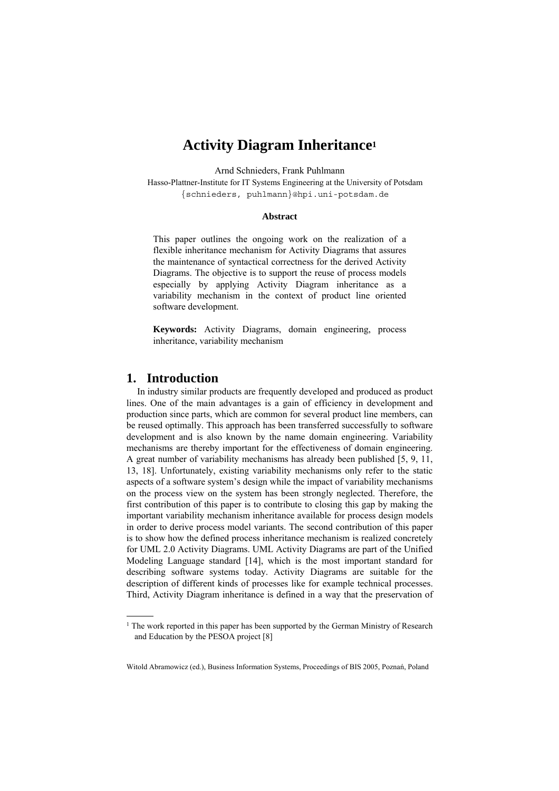# **Activity Diagram Inheritance1**

Arnd Schnieders, Frank Puhlmann

Hasso-Plattner-Institute for IT Systems Engineering at the University of Potsdam {schnieders, puhlmann}@hpi.uni-potsdam.de

#### **Abstract**

This paper outlines the ongoing work on the realization of a flexible inheritance mechanism for Activity Diagrams that assures the maintenance of syntactical correctness for the derived Activity Diagrams. The objective is to support the reuse of process models especially by applying Activity Diagram inheritance as a variability mechanism in the context of product line oriented software development.

**Keywords:** Activity Diagrams, domain engineering, process inheritance, variability mechanism

# **1. Introduction**

 $\overline{\phantom{a}}$ 

In industry similar products are frequently developed and produced as product lines. One of the main advantages is a gain of efficiency in development and production since parts, which are common for several product line members, can be reused optimally. This approach has been transferred successfully to software development and is also known by the name domain engineering. Variability mechanisms are thereby important for the effectiveness of domain engineering. A great number of variability mechanisms has already been published [5, 9, 11, 13, 18]. Unfortunately, existing variability mechanisms only refer to the static aspects of a software system's design while the impact of variability mechanisms on the process view on the system has been strongly neglected. Therefore, the first contribution of this paper is to contribute to closing this gap by making the important variability mechanism inheritance available for process design models in order to derive process model variants. The second contribution of this paper is to show how the defined process inheritance mechanism is realized concretely for UML 2.0 Activity Diagrams. UML Activity Diagrams are part of the Unified Modeling Language standard [14], which is the most important standard for describing software systems today. Activity Diagrams are suitable for the description of different kinds of processes like for example technical processes. Third, Activity Diagram inheritance is defined in a way that the preservation of

<sup>&</sup>lt;sup>1</sup> The work reported in this paper has been supported by the German Ministry of Research and Education by the PESOA project [8]

Witold Abramowicz (ed.), Business Information Systems, Proceedings of BIS 2005, Poznań, Poland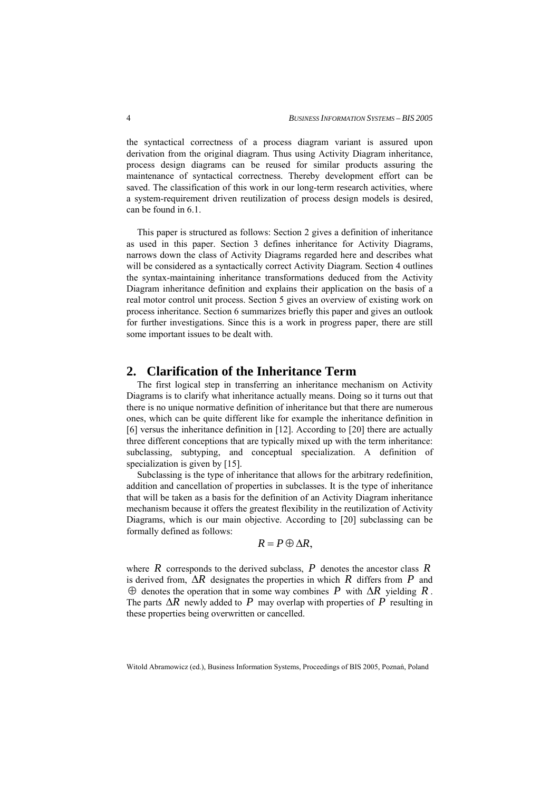the syntactical correctness of a process diagram variant is assured upon derivation from the original diagram. Thus using Activity Diagram inheritance, process design diagrams can be reused for similar products assuring the maintenance of syntactical correctness. Thereby development effort can be saved. The classification of this work in our long-term research activities, where a system-requirement driven reutilization of process design models is desired, can be found in 6.1.

This paper is structured as follows: Section 2 gives a definition of inheritance as used in this paper. Section 3 defines inheritance for Activity Diagrams, narrows down the class of Activity Diagrams regarded here and describes what will be considered as a syntactically correct Activity Diagram. Section 4 outlines the syntax-maintaining inheritance transformations deduced from the Activity Diagram inheritance definition and explains their application on the basis of a real motor control unit process. Section 5 gives an overview of existing work on process inheritance. Section 6 summarizes briefly this paper and gives an outlook for further investigations. Since this is a work in progress paper, there are still some important issues to be dealt with.

### **2. Clarification of the Inheritance Term**

The first logical step in transferring an inheritance mechanism on Activity Diagrams is to clarify what inheritance actually means. Doing so it turns out that there is no unique normative definition of inheritance but that there are numerous ones, which can be quite different like for example the inheritance definition in [6] versus the inheritance definition in [12]. According to [20] there are actually three different conceptions that are typically mixed up with the term inheritance: subclassing, subtyping, and conceptual specialization. A definition of specialization is given by [15].

Subclassing is the type of inheritance that allows for the arbitrary redefinition, addition and cancellation of properties in subclasses. It is the type of inheritance that will be taken as a basis for the definition of an Activity Diagram inheritance mechanism because it offers the greatest flexibility in the reutilization of Activity Diagrams, which is our main objective. According to [20] subclassing can be formally defined as follows:

$$
R=P\oplus \Delta R,
$$

where  $R$  corresponds to the derived subclass,  $P$  denotes the ancestor class  $R$ is derived from, ∆*R* designates the properties in which *R* differs from *P* and ⊕ denotes the operation that in some way combines *P* with ∆*R* yielding *R* . The parts  $\Delta R$  newly added to P may overlap with properties of P resulting in these properties being overwritten or cancelled.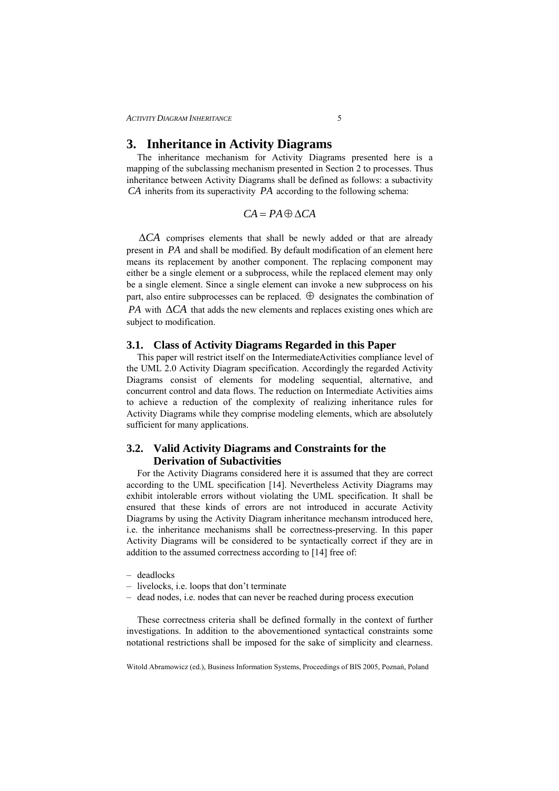# **3. Inheritance in Activity Diagrams**

The inheritance mechanism for Activity Diagrams presented here is a mapping of the subclassing mechanism presented in Section 2 to processes. Thus inheritance between Activity Diagrams shall be defined as follows: a subactivity *CA* inherits from its superactivity *PA* according to the following schema:

$$
CA = PA \oplus \Delta CA
$$

∆*CA* comprises elements that shall be newly added or that are already present in *PA* and shall be modified. By default modification of an element here means its replacement by another component. The replacing component may either be a single element or a subprocess, while the replaced element may only be a single element. Since a single element can invoke a new subprocess on his part, also entire subprocesses can be replaced.  $\oplus$  designates the combination of *PA* with ∆*CA* that adds the new elements and replaces existing ones which are subject to modification.

### **3.1. Class of Activity Diagrams Regarded in this Paper**

This paper will restrict itself on the IntermediateActivities compliance level of the UML 2.0 Activity Diagram specification. Accordingly the regarded Activity Diagrams consist of elements for modeling sequential, alternative, and concurrent control and data flows. The reduction on Intermediate Activities aims to achieve a reduction of the complexity of realizing inheritance rules for Activity Diagrams while they comprise modeling elements, which are absolutely sufficient for many applications.

# **3.2. Valid Activity Diagrams and Constraints for the Derivation of Subactivities**

For the Activity Diagrams considered here it is assumed that they are correct according to the UML specification [14]. Nevertheless Activity Diagrams may exhibit intolerable errors without violating the UML specification. It shall be ensured that these kinds of errors are not introduced in accurate Activity Diagrams by using the Activity Diagram inheritance mechansm introduced here, i.e. the inheritance mechanisms shall be correctness-preserving. In this paper Activity Diagrams will be considered to be syntactically correct if they are in addition to the assumed correctness according to [14] free of:

- deadlocks
- livelocks, i.e. loops that don't terminate
- dead nodes, i.e. nodes that can never be reached during process execution

These correctness criteria shall be defined formally in the context of further investigations. In addition to the abovementioned syntactical constraints some notational restrictions shall be imposed for the sake of simplicity and clearness.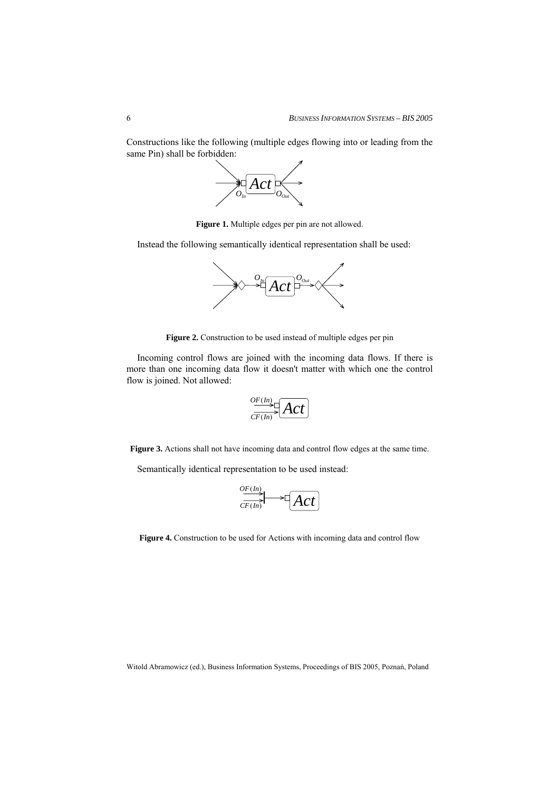Constructions like the following (multiple edges flowing into or leading from the same Pin) shall be forbidden:



**Figure 1.** Multiple edges per pin are not allowed.

Instead the following semantically identical representation shall be used:



**Figure 2.** Construction to be used instead of multiple edges per pin

Incoming control flows are joined with the incoming data flows. If there is more than one incoming data flow it doesn't matter with which one the control flow is joined. Not allowed:

$$
\frac{{\partial F(H)}{\partial F(H)}}{{\partial F(H)}}\fbox{2}
$$

**Figure 3.** Actions shall not have incoming data and control flow edges at the same time.

Semantically identical representation to be used instead:

$$
\underbrace{\overset{OF(In)}{CF(In)}} \longrightarrow \boxed{Act}
$$

**Figure 4.** Construction to be used for Actions with incoming data and control flow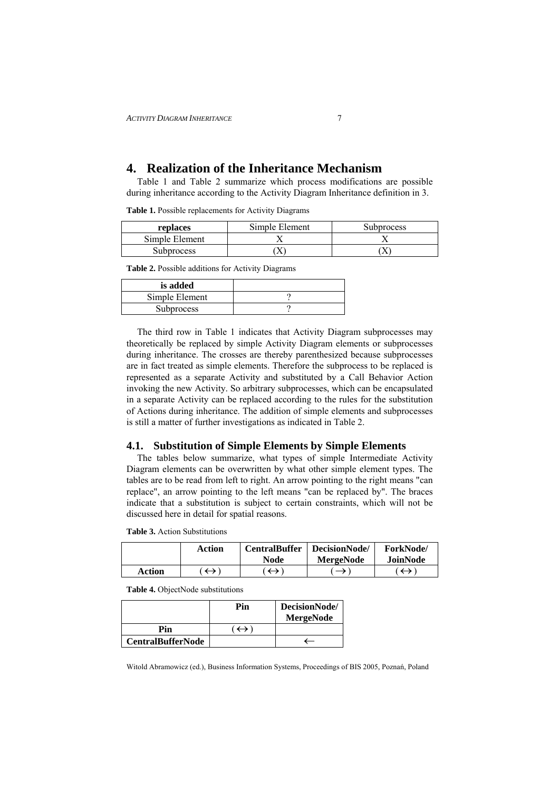# **4. Realization of the Inheritance Mechanism**

Table 1 and Table 2 summarize which process modifications are possible during inheritance according to the Activity Diagram Inheritance definition in 3.

|  | Table 1. Possible replacements for Activity Diagrams |  |  |
|--|------------------------------------------------------|--|--|
|  |                                                      |  |  |

| replaces          | Simple Element | <b>Subprocess</b> |
|-------------------|----------------|-------------------|
| Simple Element    |                |                   |
| <b>Subprocess</b> |                | Λ                 |

**Table 2.** Possible additions for Activity Diagrams

| is added          |  |
|-------------------|--|
| Simple Element    |  |
| <b>Subprocess</b> |  |

The third row in Table 1 indicates that Activity Diagram subprocesses may theoretically be replaced by simple Activity Diagram elements or subprocesses during inheritance. The crosses are thereby parenthesized because subprocesses are in fact treated as simple elements. Therefore the subprocess to be replaced is represented as a separate Activity and substituted by a Call Behavior Action invoking the new Activity. So arbitrary subprocesses, which can be encapsulated in a separate Activity can be replaced according to the rules for the substitution of Actions during inheritance. The addition of simple elements and subprocesses is still a matter of further investigations as indicated in Table 2.

#### **4.1. Substitution of Simple Elements by Simple Elements**

The tables below summarize, what types of simple Intermediate Activity Diagram elements can be overwritten by what other simple element types. The tables are to be read from left to right. An arrow pointing to the right means "can replace", an arrow pointing to the left means "can be replaced by". The braces indicate that a substitution is subject to certain constraints, which will not be discussed here in detail for spatial reasons.

|        | Action | <b>CentralBuffer</b><br><b>Node</b> | DecisionNode/<br><b>MergeNode</b> | <b>ForkNode</b><br>JoinNode |
|--------|--------|-------------------------------------|-----------------------------------|-----------------------------|
| Action |        |                                     |                                   |                             |

**Table 3.** Action Substitutions

**Table 4.** ObjectNode substitutions

|                          | Pin | DecisionNode/<br><b>MergeNode</b> |
|--------------------------|-----|-----------------------------------|
| Pin                      |     |                                   |
| <b>CentralBufferNode</b> |     |                                   |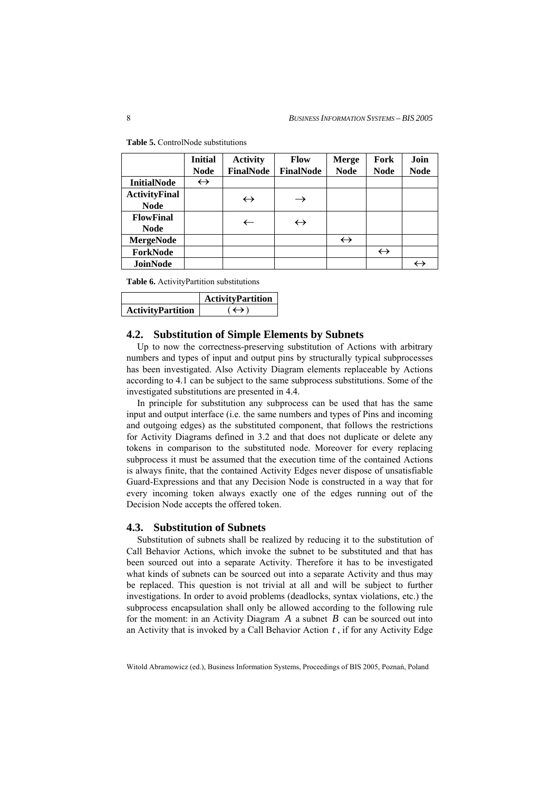|                                     | <b>Initial</b><br><b>Node</b> | <b>Activity</b><br>FinalNode | <b>Flow</b><br><b>FinalNode</b> | <b>Merge</b><br><b>Node</b> | Fork<br><b>Node</b> | Join<br><b>Node</b> |
|-------------------------------------|-------------------------------|------------------------------|---------------------------------|-----------------------------|---------------------|---------------------|
| <b>InitialNode</b>                  | $\leftrightarrow$             |                              |                                 |                             |                     |                     |
| <b>ActivityFinal</b><br><b>Node</b> |                               | $\leftrightarrow$            |                                 |                             |                     |                     |
| <b>FlowFinal</b><br><b>Node</b>     |                               | $\leftarrow$                 | $\leftrightarrow$               |                             |                     |                     |
| <b>MergeNode</b>                    |                               |                              |                                 | $\leftrightarrow$           |                     |                     |
| ForkNode                            |                               |                              |                                 |                             | $\leftrightarrow$   |                     |
| JoinNode                            |                               |                              |                                 |                             |                     | $\leftrightarrow$   |

**Table 5.** ControlNode substitutions

**Table 6.** ActivityPartition substitutions

|                          | <b>ActivityPartition</b> |
|--------------------------|--------------------------|
| <b>ActivityPartition</b> | $\leftrightarrow$        |

#### **4.2. Substitution of Simple Elements by Subnets**

Up to now the correctness-preserving substitution of Actions with arbitrary numbers and types of input and output pins by structurally typical subprocesses has been investigated. Also Activity Diagram elements replaceable by Actions according to 4.1 can be subject to the same subprocess substitutions. Some of the investigated substitutions are presented in 4.4.

In principle for substitution any subprocess can be used that has the same input and output interface (i.e. the same numbers and types of Pins and incoming and outgoing edges) as the substituted component, that follows the restrictions for Activity Diagrams defined in 3.2 and that does not duplicate or delete any tokens in comparison to the substituted node. Moreover for every replacing subprocess it must be assumed that the execution time of the contained Actions is always finite, that the contained Activity Edges never dispose of unsatisfiable Guard-Expressions and that any Decision Node is constructed in a way that for every incoming token always exactly one of the edges running out of the Decision Node accepts the offered token.

### **4.3. Substitution of Subnets**

Substitution of subnets shall be realized by reducing it to the substitution of Call Behavior Actions, which invoke the subnet to be substituted and that has been sourced out into a separate Activity. Therefore it has to be investigated what kinds of subnets can be sourced out into a separate Activity and thus may be replaced. This question is not trivial at all and will be subject to further investigations. In order to avoid problems (deadlocks, syntax violations, etc.) the subprocess encapsulation shall only be allowed according to the following rule for the moment: in an Activity Diagram *A* a subnet *B* can be sourced out into an Activity that is invoked by a Call Behavior Action *t* , if for any Activity Edge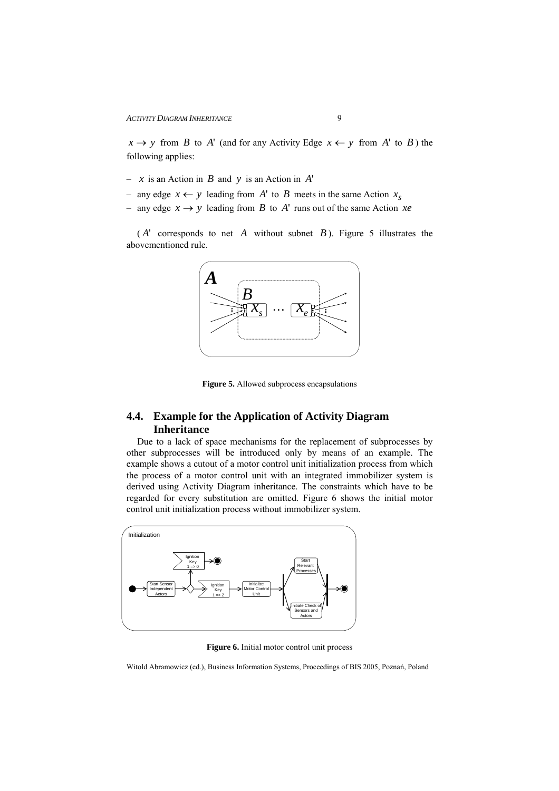$x \rightarrow y$  from *B* to *A*' (and for any Activity Edge  $x \leftarrow y$  from *A*' to *B*) the following applies:

- *x* is an Action in *B* and *y* is an Action in *A*'
- any edge *x* ← *y* leading from *A*' to *B* meets in the same Action *<sup>s</sup> x*
- any edge *x* → *y* leading from *B* to *A*' runs out of the same Action *xe*

( *A*' corresponds to net *A* without subnet *B* ). Figure 5 illustrates the abovementioned rule.



**Figure 5.** Allowed subprocess encapsulations

# **4.4. Example for the Application of Activity Diagram Inheritance**

Due to a lack of space mechanisms for the replacement of subprocesses by other subprocesses will be introduced only by means of an example. The example shows a cutout of a motor control unit initialization process from which the process of a motor control unit with an integrated immobilizer system is derived using Activity Diagram inheritance. The constraints which have to be regarded for every substitution are omitted. Figure 6 shows the initial motor control unit initialization process without immobilizer system.



**Figure 6.** Initial motor control unit process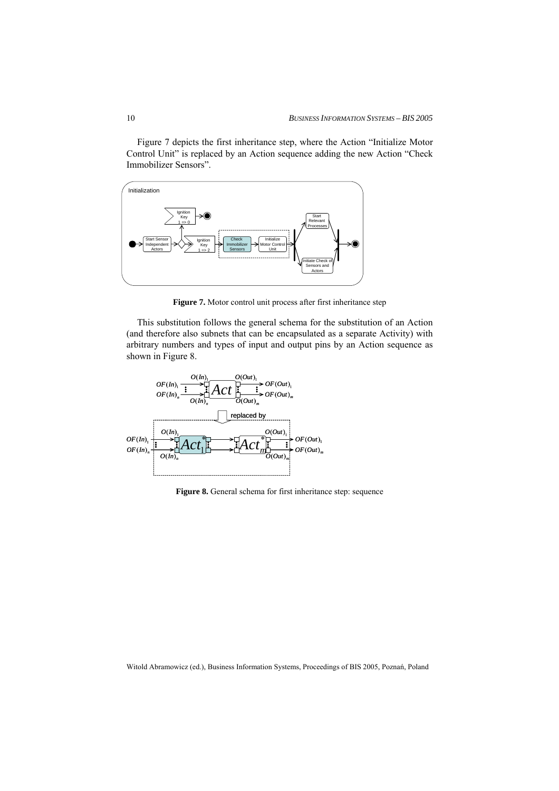Figure 7 depicts the first inheritance step, where the Action "Initialize Motor Control Unit" is replaced by an Action sequence adding the new Action "Check Immobilizer Sensors".



**Figure 7.** Motor control unit process after first inheritance step

This substitution follows the general schema for the substitution of an Action (and therefore also subnets that can be encapsulated as a separate Activity) with arbitrary numbers and types of input and output pins by an Action sequence as shown in Figure 8.



**Figure 8.** General schema for first inheritance step: sequence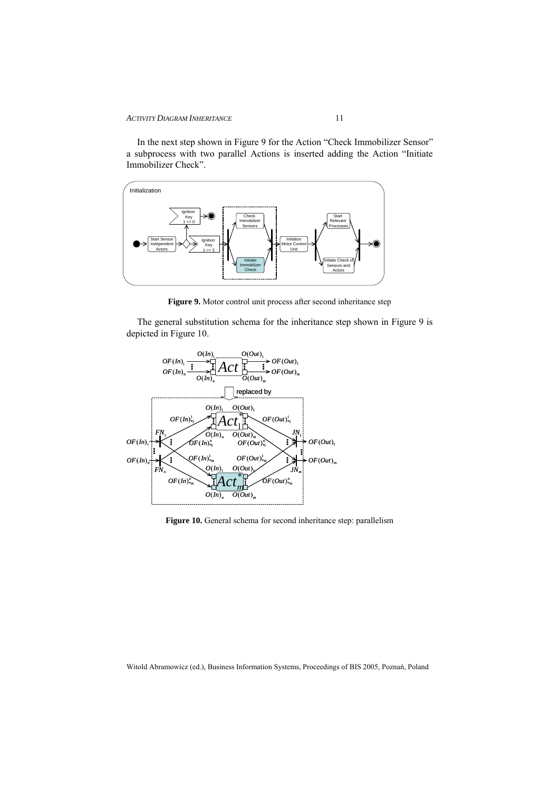In the next step shown in Figure 9 for the Action "Check Immobilizer Sensor" a subprocess with two parallel Actions is inserted adding the Action "Initiate Immobilizer Check".



**Figure 9.** Motor control unit process after second inheritance step

The general substitution schema for the inheritance step shown in Figure 9 is depicted in Figure 10.



**Figure 10.** General schema for second inheritance step: parallelism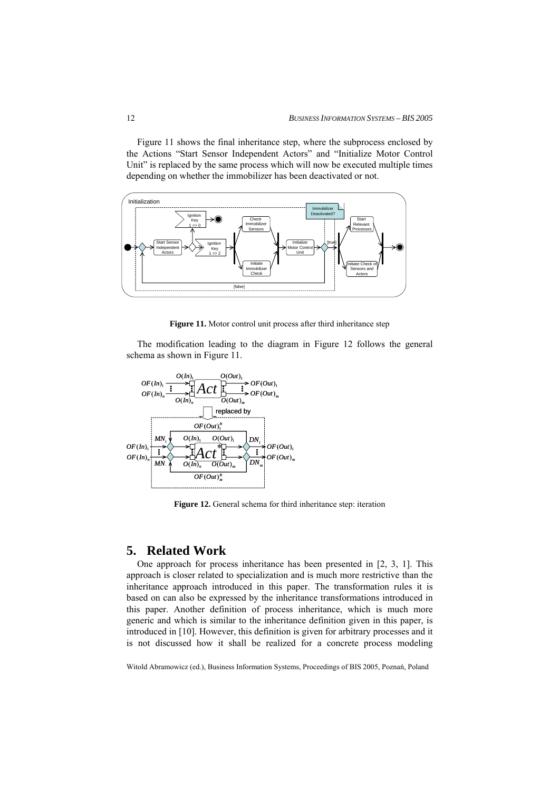Figure 11 shows the final inheritance step, where the subprocess enclosed by the Actions "Start Sensor Independent Actors" and "Initialize Motor Control Unit" is replaced by the same process which will now be executed multiple times depending on whether the immobilizer has been deactivated or not.



**Figure 11.** Motor control unit process after third inheritance step

The modification leading to the diagram in Figure 12 follows the general schema as shown in Figure 11.



**Figure 12.** General schema for third inheritance step: iteration

### **5. Related Work**

One approach for process inheritance has been presented in [2, 3, 1]. This approach is closer related to specialization and is much more restrictive than the inheritance approach introduced in this paper. The transformation rules it is based on can also be expressed by the inheritance transformations introduced in this paper. Another definition of process inheritance, which is much more generic and which is similar to the inheritance definition given in this paper, is introduced in [10]. However, this definition is given for arbitrary processes and it is not discussed how it shall be realized for a concrete process modeling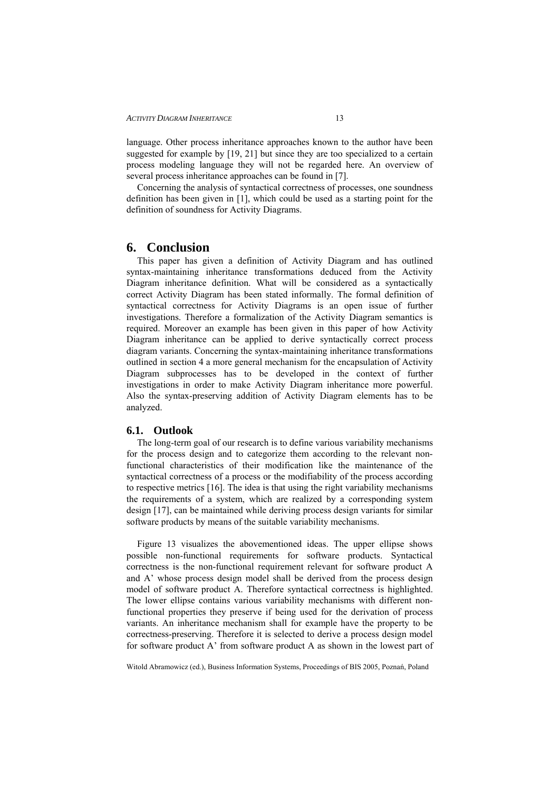language. Other process inheritance approaches known to the author have been suggested for example by [19, 21] but since they are too specialized to a certain process modeling language they will not be regarded here. An overview of several process inheritance approaches can be found in [7].

Concerning the analysis of syntactical correctness of processes, one soundness definition has been given in [1], which could be used as a starting point for the definition of soundness for Activity Diagrams.

### **6. Conclusion**

This paper has given a definition of Activity Diagram and has outlined syntax-maintaining inheritance transformations deduced from the Activity Diagram inheritance definition. What will be considered as a syntactically correct Activity Diagram has been stated informally. The formal definition of syntactical correctness for Activity Diagrams is an open issue of further investigations. Therefore a formalization of the Activity Diagram semantics is required. Moreover an example has been given in this paper of how Activity Diagram inheritance can be applied to derive syntactically correct process diagram variants. Concerning the syntax-maintaining inheritance transformations outlined in section 4 a more general mechanism for the encapsulation of Activity Diagram subprocesses has to be developed in the context of further investigations in order to make Activity Diagram inheritance more powerful. Also the syntax-preserving addition of Activity Diagram elements has to be analyzed.

### **6.1. Outlook**

The long-term goal of our research is to define various variability mechanisms for the process design and to categorize them according to the relevant nonfunctional characteristics of their modification like the maintenance of the syntactical correctness of a process or the modifiability of the process according to respective metrics [16]. The idea is that using the right variability mechanisms the requirements of a system, which are realized by a corresponding system design [17], can be maintained while deriving process design variants for similar software products by means of the suitable variability mechanisms.

Figure 13 visualizes the abovementioned ideas. The upper ellipse shows possible non-functional requirements for software products. Syntactical correctness is the non-functional requirement relevant for software product A and A' whose process design model shall be derived from the process design model of software product A. Therefore syntactical correctness is highlighted. The lower ellipse contains various variability mechanisms with different nonfunctional properties they preserve if being used for the derivation of process variants. An inheritance mechanism shall for example have the property to be correctness-preserving. Therefore it is selected to derive a process design model for software product A' from software product A as shown in the lowest part of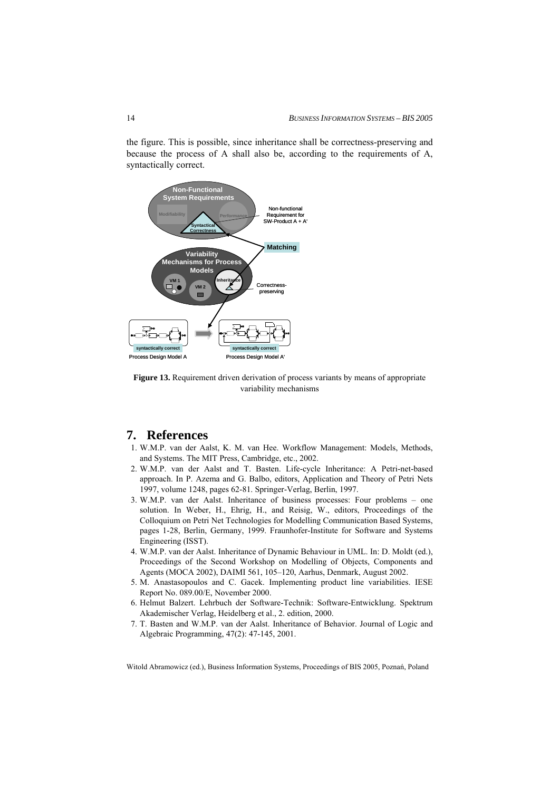the figure. This is possible, since inheritance shall be correctness-preserving and<br>because the process of A shall also be, according to the requirements of A,<br>syntactically correct.<br>Non-Functional<br>System Requirements because the process of A shall also be, according to the requirements of A, syntactically correct.



Figure 13. Requirement driven derivation of process variants by means of appropriate variability mechanisms

# **7. References**

- 1. W.M.P. van der Aalst, K. M. van Hee. Workflow Management: Models, Methods, and Systems. The MIT Press, Cambridge, etc., 2002.
- 2. W.M.P. van der Aalst and T. Basten. Life-cycle Inheritance: A Petri-net-based approach. In P. Azema and G. Balbo, editors, Application and Theory of Petri Nets 1997, volume 1248, pages 62-81. Springer-Verlag, Berlin, 1997.
- 3. W.M.P. van der Aalst. Inheritance of business processes: Four problems one solution. In Weber, H., Ehrig, H., and Reisig, W., editors, Proceedings of the Colloquium on Petri Net Technologies for Modelling Communication Based Systems, pages 1-28, Berlin, Germany, 1999. Fraunhofer-Institute for Software and Systems Engineering (ISST).
- 4. W.M.P. van der Aalst. Inheritance of Dynamic Behaviour in UML. In: D. Moldt (ed.), Proceedings of the Second Workshop on Modelling of Objects, Components and Agents (MOCA 2002), DAIMI 561, 105–120, Aarhus, Denmark, August 2002.
- 5. M. Anastasopoulos and C. Gacek. Implementing product line variabilities. IESE Report No. 089.00/E, November 2000.
- 6. Helmut Balzert. Lehrbuch der Software-Technik: Software-Entwicklung. Spektrum Akademischer Verlag, Heidelberg et al., 2. edition, 2000.
- 7. T. Basten and W.M.P. van der Aalst. Inheritance of Behavior. Journal of Logic and Algebraic Programming, 47(2): 47-145, 2001.